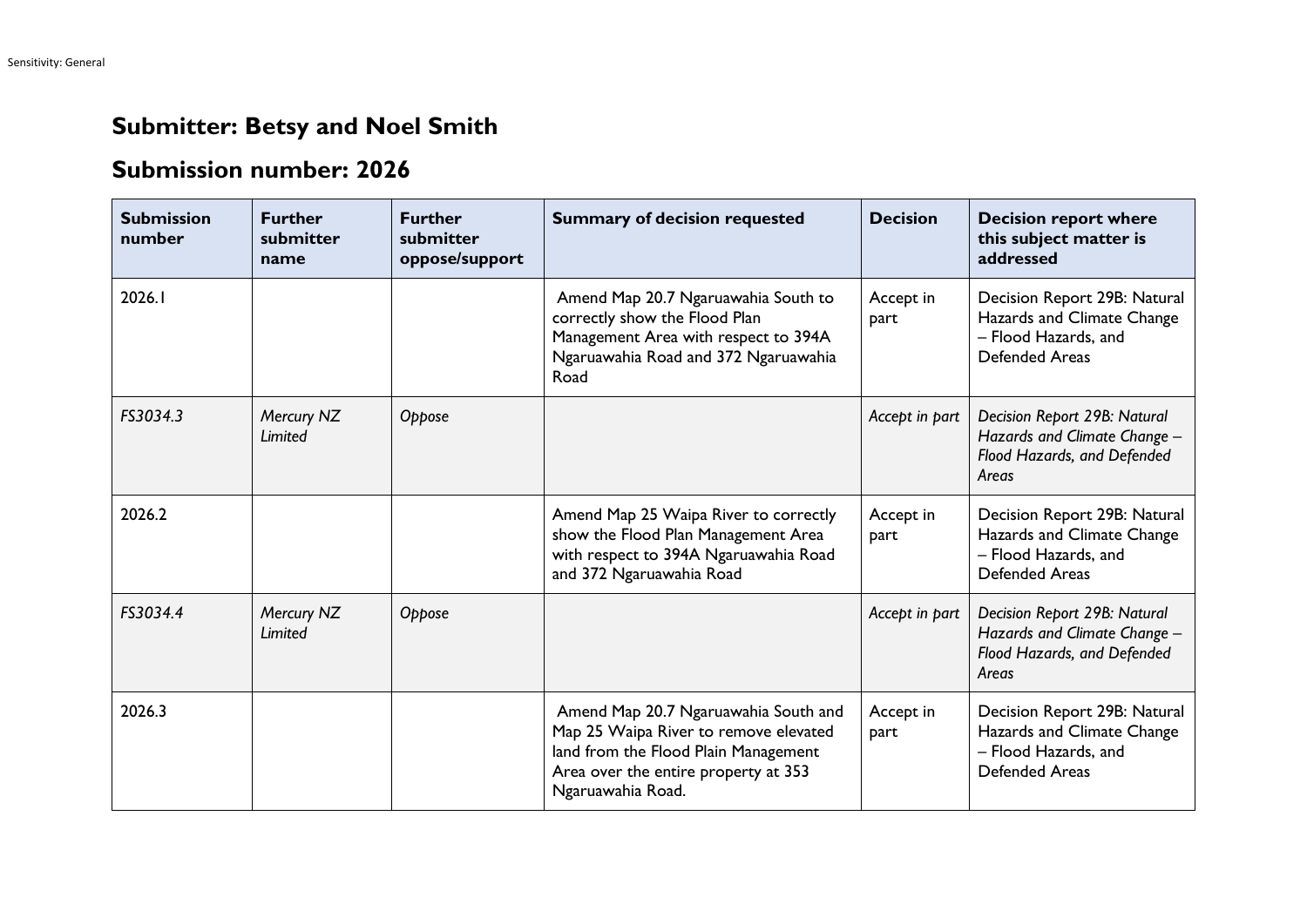## **Submitter: Betsy and Noel Smith**

## **Submission number: 2026**

| <b>Submission</b><br>number | <b>Further</b><br>submitter<br>name | <b>Further</b><br>submitter<br>oppose/support | <b>Summary of decision requested</b>                                                                                                                                               | <b>Decision</b>   | <b>Decision report where</b><br>this subject matter is<br>addressed                                         |
|-----------------------------|-------------------------------------|-----------------------------------------------|------------------------------------------------------------------------------------------------------------------------------------------------------------------------------------|-------------------|-------------------------------------------------------------------------------------------------------------|
| 2026.1                      |                                     |                                               | Amend Map 20.7 Ngaruawahia South to<br>correctly show the Flood Plan<br>Management Area with respect to 394A<br>Ngaruawahia Road and 372 Ngaruawahia<br>Road                       | Accept in<br>part | Decision Report 29B: Natural<br>Hazards and Climate Change<br>- Flood Hazards, and<br><b>Defended Areas</b> |
| FS3034.3                    | Mercury NZ<br>Limited               | Oppose                                        |                                                                                                                                                                                    | Accept in part    | Decision Report 29B: Natural<br>Hazards and Climate Change -<br>Flood Hazards, and Defended<br>Areas        |
| 2026.2                      |                                     |                                               | Amend Map 25 Waipa River to correctly<br>show the Flood Plan Management Area<br>with respect to 394A Ngaruawahia Road<br>and 372 Ngaruawahia Road                                  | Accept in<br>part | Decision Report 29B: Natural<br>Hazards and Climate Change<br>- Flood Hazards, and<br><b>Defended Areas</b> |
| FS3034.4                    | Mercury NZ<br>Limited               | Oppose                                        |                                                                                                                                                                                    | Accept in part    | Decision Report 29B: Natural<br>Hazards and Climate Change -<br>Flood Hazards, and Defended<br>Areas        |
| 2026.3                      |                                     |                                               | Amend Map 20.7 Ngaruawahia South and<br>Map 25 Waipa River to remove elevated<br>land from the Flood Plain Management<br>Area over the entire property at 353<br>Ngaruawahia Road. | Accept in<br>part | Decision Report 29B: Natural<br>Hazards and Climate Change<br>- Flood Hazards, and<br>Defended Areas        |